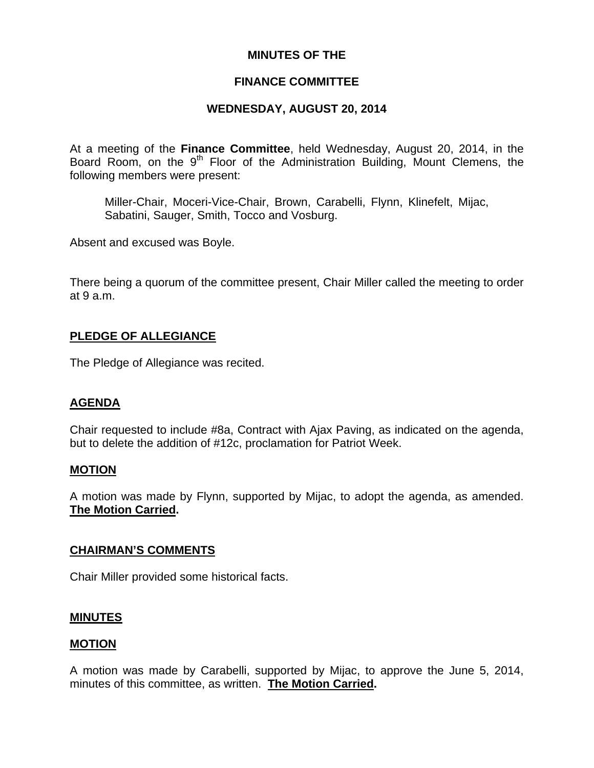## **MINUTES OF THE**

### **FINANCE COMMITTEE**

### **WEDNESDAY, AUGUST 20, 2014**

At a meeting of the **Finance Committee**, held Wednesday, August 20, 2014, in the Board Room, on the 9<sup>th</sup> Floor of the Administration Building, Mount Clemens, the following members were present:

Miller-Chair, Moceri-Vice-Chair, Brown, Carabelli, Flynn, Klinefelt, Mijac, Sabatini, Sauger, Smith, Tocco and Vosburg.

Absent and excused was Boyle.

There being a quorum of the committee present, Chair Miller called the meeting to order at 9 a.m.

#### **PLEDGE OF ALLEGIANCE**

The Pledge of Allegiance was recited.

#### **AGENDA**

Chair requested to include #8a, Contract with Ajax Paving, as indicated on the agenda, but to delete the addition of #12c, proclamation for Patriot Week.

#### **MOTION**

A motion was made by Flynn, supported by Mijac, to adopt the agenda, as amended. **The Motion Carried.** 

#### **CHAIRMAN'S COMMENTS**

Chair Miller provided some historical facts.

#### **MINUTES**

#### **MOTION**

A motion was made by Carabelli, supported by Mijac, to approve the June 5, 2014, minutes of this committee, as written. **The Motion Carried.**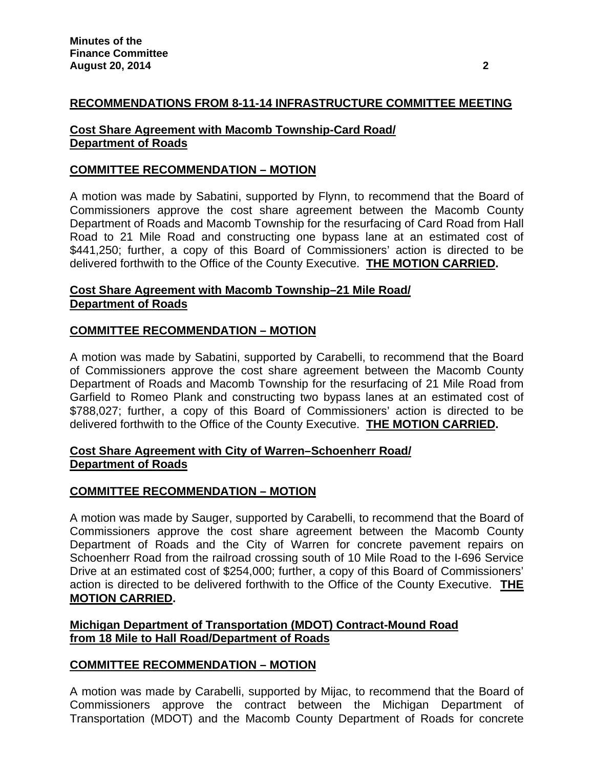## **RECOMMENDATIONS FROM 8-11-14 INFRASTRUCTURE COMMITTEE MEETING**

### **Cost Share Agreement with Macomb Township-Card Road/ Department of Roads**

## **COMMITTEE RECOMMENDATION – MOTION**

A motion was made by Sabatini, supported by Flynn, to recommend that the Board of Commissioners approve the cost share agreement between the Macomb County Department of Roads and Macomb Township for the resurfacing of Card Road from Hall Road to 21 Mile Road and constructing one bypass lane at an estimated cost of \$441,250; further, a copy of this Board of Commissioners' action is directed to be delivered forthwith to the Office of the County Executive. **THE MOTION CARRIED.** 

### **Cost Share Agreement with Macomb Township–21 Mile Road/ Department of Roads**

## **COMMITTEE RECOMMENDATION – MOTION**

A motion was made by Sabatini, supported by Carabelli, to recommend that the Board of Commissioners approve the cost share agreement between the Macomb County Department of Roads and Macomb Township for the resurfacing of 21 Mile Road from Garfield to Romeo Plank and constructing two bypass lanes at an estimated cost of \$788,027; further, a copy of this Board of Commissioners' action is directed to be delivered forthwith to the Office of the County Executive. **THE MOTION CARRIED.** 

### **Cost Share Agreement with City of Warren–Schoenherr Road/ Department of Roads**

#### **COMMITTEE RECOMMENDATION – MOTION**

A motion was made by Sauger, supported by Carabelli, to recommend that the Board of Commissioners approve the cost share agreement between the Macomb County Department of Roads and the City of Warren for concrete pavement repairs on Schoenherr Road from the railroad crossing south of 10 Mile Road to the I-696 Service Drive at an estimated cost of \$254,000; further, a copy of this Board of Commissioners' action is directed to be delivered forthwith to the Office of the County Executive. **THE MOTION CARRIED.** 

#### **Michigan Department of Transportation (MDOT) Contract-Mound Road from 18 Mile to Hall Road/Department of Roads**

#### **COMMITTEE RECOMMENDATION – MOTION**

A motion was made by Carabelli, supported by Mijac, to recommend that the Board of Commissioners approve the contract between the Michigan Department of Transportation (MDOT) and the Macomb County Department of Roads for concrete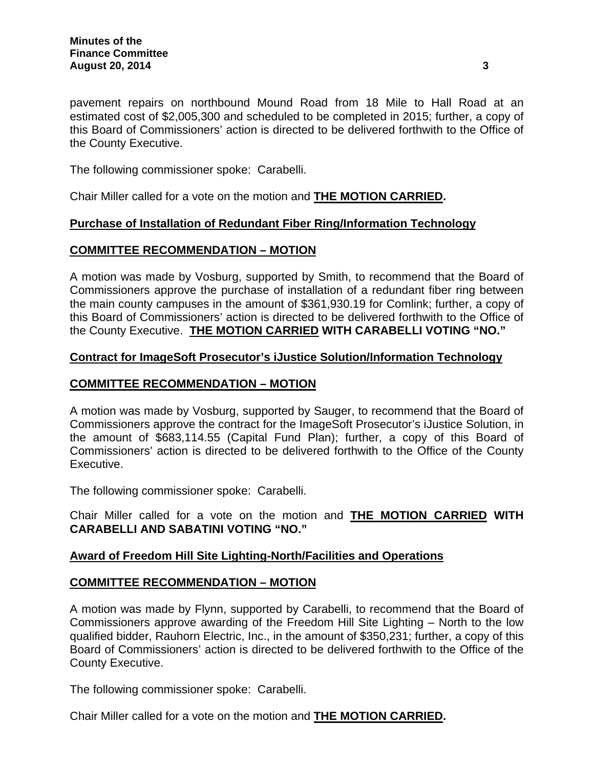pavement repairs on northbound Mound Road from 18 Mile to Hall Road at an estimated cost of \$2,005,300 and scheduled to be completed in 2015; further, a copy of this Board of Commissioners' action is directed to be delivered forthwith to the Office of the County Executive.

The following commissioner spoke: Carabelli.

Chair Miller called for a vote on the motion and **THE MOTION CARRIED.** 

### **Purchase of Installation of Redundant Fiber Ring/Information Technology**

### **COMMITTEE RECOMMENDATION – MOTION**

A motion was made by Vosburg, supported by Smith, to recommend that the Board of Commissioners approve the purchase of installation of a redundant fiber ring between the main county campuses in the amount of \$361,930.19 for Comlink; further, a copy of this Board of Commissioners' action is directed to be delivered forthwith to the Office of the County Executive. **THE MOTION CARRIED WITH CARABELLI VOTING "NO."** 

### **Contract for ImageSoft Prosecutor's iJustice Solution/Information Technology**

### **COMMITTEE RECOMMENDATION – MOTION**

A motion was made by Vosburg, supported by Sauger, to recommend that the Board of Commissioners approve the contract for the ImageSoft Prosecutor's iJustice Solution, in the amount of \$683,114.55 (Capital Fund Plan); further, a copy of this Board of Commissioners' action is directed to be delivered forthwith to the Office of the County Executive.

The following commissioner spoke: Carabelli.

Chair Miller called for a vote on the motion and **THE MOTION CARRIED WITH CARABELLI AND SABATINI VOTING "NO."** 

## **Award of Freedom Hill Site Lighting-North/Facilities and Operations**

## **COMMITTEE RECOMMENDATION – MOTION**

A motion was made by Flynn, supported by Carabelli, to recommend that the Board of Commissioners approve awarding of the Freedom Hill Site Lighting – North to the low qualified bidder, Rauhorn Electric, Inc., in the amount of \$350,231; further, a copy of this Board of Commissioners' action is directed to be delivered forthwith to the Office of the County Executive.

The following commissioner spoke: Carabelli.

Chair Miller called for a vote on the motion and **THE MOTION CARRIED.**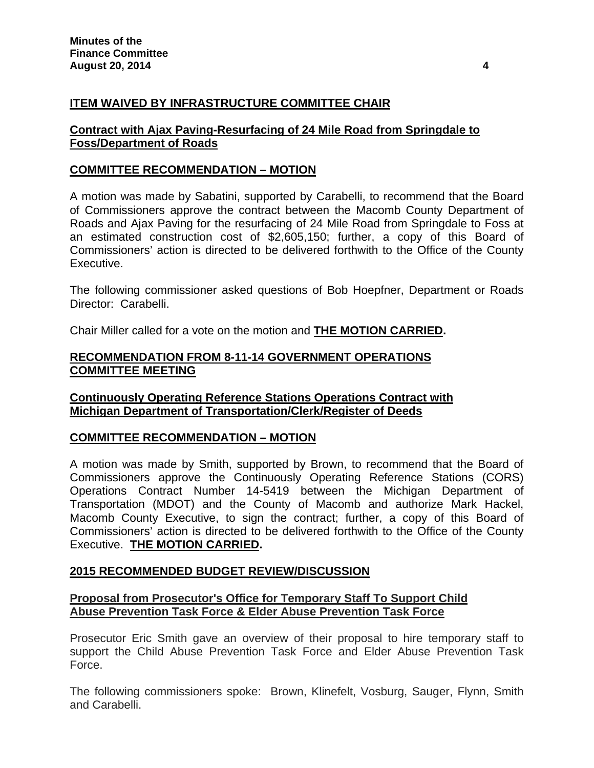# **ITEM WAIVED BY INFRASTRUCTURE COMMITTEE CHAIR**

## **Contract with Ajax Paving-Resurfacing of 24 Mile Road from Springdale to Foss/Department of Roads**

## **COMMITTEE RECOMMENDATION – MOTION**

A motion was made by Sabatini, supported by Carabelli, to recommend that the Board of Commissioners approve the contract between the Macomb County Department of Roads and Ajax Paving for the resurfacing of 24 Mile Road from Springdale to Foss at an estimated construction cost of \$2,605,150; further, a copy of this Board of Commissioners' action is directed to be delivered forthwith to the Office of the County Executive.

The following commissioner asked questions of Bob Hoepfner, Department or Roads Director: Carabelli.

Chair Miller called for a vote on the motion and **THE MOTION CARRIED.** 

## **RECOMMENDATION FROM 8-11-14 GOVERNMENT OPERATIONS COMMITTEE MEETING**

**Continuously Operating Reference Stations Operations Contract with Michigan Department of Transportation/Clerk/Register of Deeds** 

## **COMMITTEE RECOMMENDATION – MOTION**

A motion was made by Smith, supported by Brown, to recommend that the Board of Commissioners approve the Continuously Operating Reference Stations (CORS) Operations Contract Number 14-5419 between the Michigan Department of Transportation (MDOT) and the County of Macomb and authorize Mark Hackel, Macomb County Executive, to sign the contract; further, a copy of this Board of Commissioners' action is directed to be delivered forthwith to the Office of the County Executive. **THE MOTION CARRIED.** 

## **2015 RECOMMENDED BUDGET REVIEW/DISCUSSION**

## **Proposal from Prosecutor's Office for Temporary Staff To Support Child Abuse Prevention Task Force & Elder Abuse Prevention Task Force**

Prosecutor Eric Smith gave an overview of their proposal to hire temporary staff to support the Child Abuse Prevention Task Force and Elder Abuse Prevention Task Force.

The following commissioners spoke: Brown, Klinefelt, Vosburg, Sauger, Flynn, Smith and Carabelli.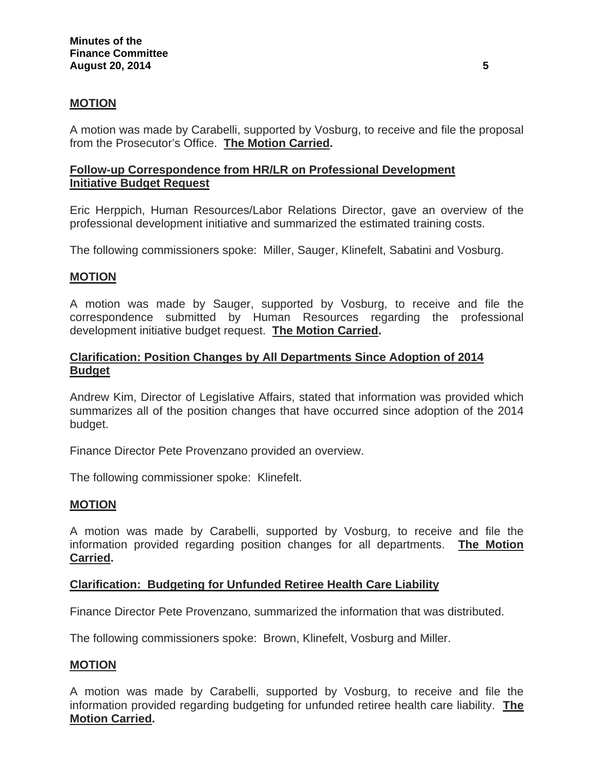## **MOTION**

A motion was made by Carabelli, supported by Vosburg, to receive and file the proposal from the Prosecutor's Office. **The Motion Carried.** 

## **Follow-up Correspondence from HR/LR on Professional Development Initiative Budget Request**

Eric Herppich, Human Resources/Labor Relations Director, gave an overview of the professional development initiative and summarized the estimated training costs.

The following commissioners spoke: Miller, Sauger, Klinefelt, Sabatini and Vosburg.

### **MOTION**

A motion was made by Sauger, supported by Vosburg, to receive and file the correspondence submitted by Human Resources regarding the professional development initiative budget request. **The Motion Carried.** 

### **Clarification: Position Changes by All Departments Since Adoption of 2014 Budget**

Andrew Kim, Director of Legislative Affairs, stated that information was provided which summarizes all of the position changes that have occurred since adoption of the 2014 budget.

Finance Director Pete Provenzano provided an overview.

The following commissioner spoke: Klinefelt.

#### **MOTION**

A motion was made by Carabelli, supported by Vosburg, to receive and file the information provided regarding position changes for all departments. **The Motion Carried.** 

#### **Clarification: Budgeting for Unfunded Retiree Health Care Liability**

Finance Director Pete Provenzano, summarized the information that was distributed.

The following commissioners spoke: Brown, Klinefelt, Vosburg and Miller.

#### **MOTION**

A motion was made by Carabelli, supported by Vosburg, to receive and file the information provided regarding budgeting for unfunded retiree health care liability. **The Motion Carried.**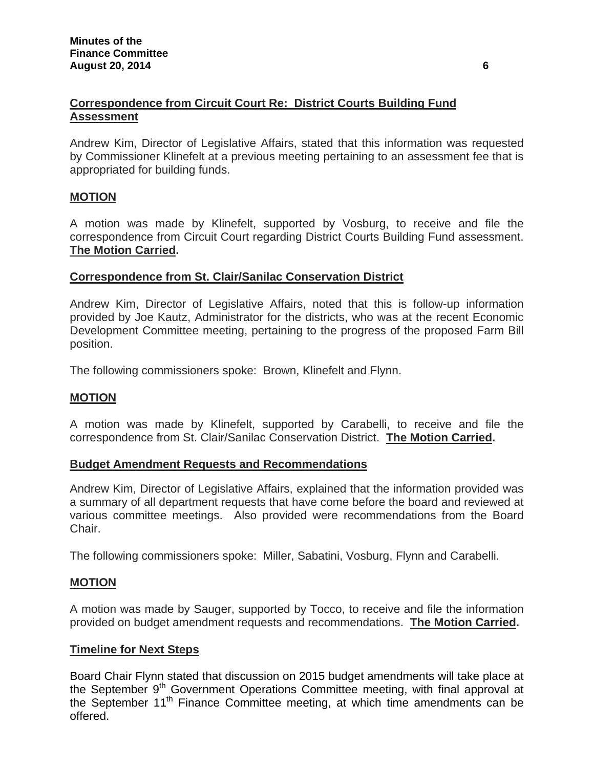# **Correspondence from Circuit Court Re: District Courts Building Fund Assessment**

Andrew Kim, Director of Legislative Affairs, stated that this information was requested by Commissioner Klinefelt at a previous meeting pertaining to an assessment fee that is appropriated for building funds.

# **MOTION**

A motion was made by Klinefelt, supported by Vosburg, to receive and file the correspondence from Circuit Court regarding District Courts Building Fund assessment. **The Motion Carried.** 

### **Correspondence from St. Clair/Sanilac Conservation District**

Andrew Kim, Director of Legislative Affairs, noted that this is follow-up information provided by Joe Kautz, Administrator for the districts, who was at the recent Economic Development Committee meeting, pertaining to the progress of the proposed Farm Bill position.

The following commissioners spoke: Brown, Klinefelt and Flynn.

## **MOTION**

A motion was made by Klinefelt, supported by Carabelli, to receive and file the correspondence from St. Clair/Sanilac Conservation District. **The Motion Carried.** 

## **Budget Amendment Requests and Recommendations**

Andrew Kim, Director of Legislative Affairs, explained that the information provided was a summary of all department requests that have come before the board and reviewed at various committee meetings. Also provided were recommendations from the Board Chair.

The following commissioners spoke: Miller, Sabatini, Vosburg, Flynn and Carabelli.

## **MOTION**

A motion was made by Sauger, supported by Tocco, to receive and file the information provided on budget amendment requests and recommendations. **The Motion Carried.** 

#### **Timeline for Next Steps**

Board Chair Flynn stated that discussion on 2015 budget amendments will take place at the September  $9<sup>th</sup>$  Government Operations Committee meeting, with final approval at the September  $11<sup>th</sup>$  Finance Committee meeting, at which time amendments can be offered.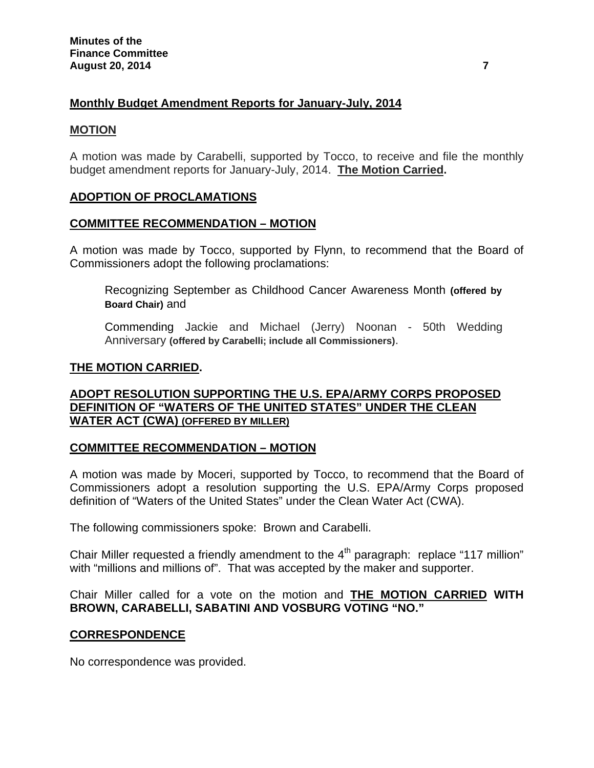## **Monthly Budget Amendment Reports for January-July, 2014**

#### **MOTION**

A motion was made by Carabelli, supported by Tocco, to receive and file the monthly budget amendment reports for January-July, 2014. **The Motion Carried.** 

## **ADOPTION OF PROCLAMATIONS**

## **COMMITTEE RECOMMENDATION – MOTION**

A motion was made by Tocco, supported by Flynn, to recommend that the Board of Commissioners adopt the following proclamations:

Recognizing September as Childhood Cancer Awareness Month **(offered by Board Chair)** and

Commending Jackie and Michael (Jerry) Noonan - 50th Wedding Anniversary **(offered by Carabelli; include all Commissioners)**.

#### **THE MOTION CARRIED.**

## **ADOPT RESOLUTION SUPPORTING THE U.S. EPA/ARMY CORPS PROPOSED DEFINITION OF "WATERS OF THE UNITED STATES" UNDER THE CLEAN WATER ACT (CWA) (OFFERED BY MILLER)**

## **COMMITTEE RECOMMENDATION – MOTION**

A motion was made by Moceri, supported by Tocco, to recommend that the Board of Commissioners adopt a resolution supporting the U.S. EPA/Army Corps proposed definition of "Waters of the United States" under the Clean Water Act (CWA).

The following commissioners spoke: Brown and Carabelli.

Chair Miller requested a friendly amendment to the  $4<sup>th</sup>$  paragraph: replace "117 million" with "millions and millions of". That was accepted by the maker and supporter.

Chair Miller called for a vote on the motion and **THE MOTION CARRIED WITH BROWN, CARABELLI, SABATINI AND VOSBURG VOTING "NO."**

#### **CORRESPONDENCE**

No correspondence was provided.